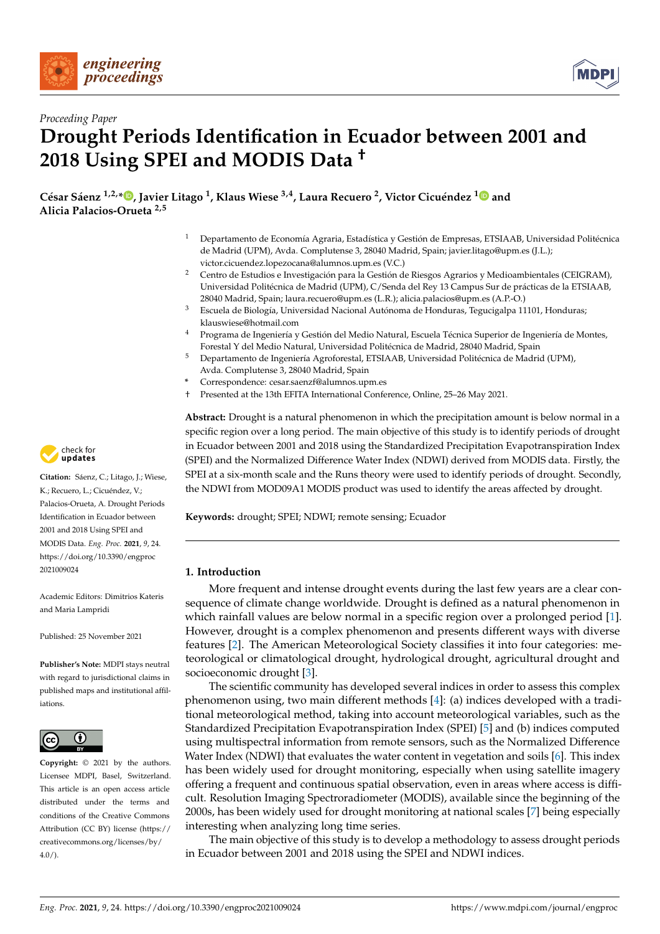



# *Proceeding Paper* **Drought Periods Identification in Ecuador between 2001 and 2018 Using SPEI and MODIS Data †**

**César Sáenz 1,2,[\\*](https://orcid.org/0000-0001-6687-7452) , Javier Litago <sup>1</sup> , Klaus Wiese 3,4, Laura Recuero <sup>2</sup> , Victor Cicuéndez [1](https://orcid.org/0000-0002-9934-0472) and Alicia Palacios-Orueta 2,5**

- <sup>1</sup> Departamento de Economía Agraria, Estadística y Gestión de Empresas, ETSIAAB, Universidad Politécnica de Madrid (UPM), Avda. Complutense 3, 28040 Madrid, Spain; javier.litago@upm.es (J.L.); victor.cicuendez.lopezocana@alumnos.upm.es (V.C.)
- <sup>2</sup> Centro de Estudios e Investigación para la Gestión de Riesgos Agrarios y Medioambientales (CEIGRAM), Universidad Politécnica de Madrid (UPM), C/Senda del Rey 13 Campus Sur de prácticas de la ETSIAAB, 28040 Madrid, Spain; laura.recuero@upm.es (L.R.); alicia.palacios@upm.es (A.P.-O.)
- <sup>3</sup> Escuela de Biología, Universidad Nacional Autónoma de Honduras, Tegucigalpa 11101, Honduras; klauswiese@hotmail.com
- <sup>4</sup> Programa de Ingeniería y Gestión del Medio Natural, Escuela Técnica Superior de Ingeniería de Montes, Forestal Y del Medio Natural, Universidad Politécnica de Madrid, 28040 Madrid, Spain
- <sup>5</sup> Departamento de Ingeniería Agroforestal, ETSIAAB, Universidad Politécnica de Madrid (UPM), Avda. Complutense 3, 28040 Madrid, Spain
- **\*** Correspondence: cesar.saenzf@alumnos.upm.es
- † Presented at the 13th EFITA International Conference, Online, 25–26 May 2021.

**Abstract:** Drought is a natural phenomenon in which the precipitation amount is below normal in a specific region over a long period. The main objective of this study is to identify periods of drought in Ecuador between 2001 and 2018 using the Standardized Precipitation Evapotranspiration Index (SPEI) and the Normalized Difference Water Index (NDWI) derived from MODIS data. Firstly, the SPEI at a six-month scale and the Runs theory were used to identify periods of drought. Secondly, the NDWI from MOD09A1 MODIS product was used to identify the areas affected by drought.

**Keywords:** drought; SPEI; NDWI; remote sensing; Ecuador

### **1. Introduction**

More frequent and intense drought events during the last few years are a clear consequence of climate change worldwide. Drought is defined as a natural phenomenon in which rainfall values are below normal in a specific region over a prolonged period [\[1\]](#page-3-0). However, drought is a complex phenomenon and presents different ways with diverse features [\[2\]](#page-3-1). The American Meteorological Society classifies it into four categories: meteorological or climatological drought, hydrological drought, agricultural drought and socioeconomic drought [\[3\]](#page-3-2).

The scientific community has developed several indices in order to assess this complex phenomenon using, two main different methods [\[4\]](#page-3-3): (a) indices developed with a traditional meteorological method, taking into account meteorological variables, such as the Standardized Precipitation Evapotranspiration Index (SPEI) [\[5\]](#page-3-4) and (b) indices computed using multispectral information from remote sensors, such as the Normalized Difference Water Index (NDWI) that evaluates the water content in vegetation and soils [\[6\]](#page-3-5). This index has been widely used for drought monitoring, especially when using satellite imagery offering a frequent and continuous spatial observation, even in areas where access is difficult. Resolution Imaging Spectroradiometer (MODIS), available since the beginning of the 2000s, has been widely used for drought monitoring at national scales [\[7\]](#page-3-6) being especially interesting when analyzing long time series.

The main objective of this study is to develop a methodology to assess drought periods in Ecuador between 2001 and 2018 using the SPEI and NDWI indices.



**Citation:** Sáenz, C.; Litago, J.; Wiese, K.; Recuero, L.; Cicuéndez, V.; Palacios-Orueta, A. Drought Periods Identification in Ecuador between 2001 and 2018 Using SPEI and MODIS Data. *Eng. Proc.* **2021**, *9*, 24. [https://doi.org/10.3390/engproc](https://doi.org/10.3390/engproc2021009024) [2021009024](https://doi.org/10.3390/engproc2021009024)

Academic Editors: Dimitrios Kateris and Maria Lampridi

Published: 25 November 2021

**Publisher's Note:** MDPI stays neutral with regard to jurisdictional claims in published maps and institutional affiliations.



**Copyright:** © 2021 by the authors. Licensee MDPI, Basel, Switzerland. This article is an open access article distributed under the terms and conditions of the Creative Commons Attribution (CC BY) license (https:/[/](https://creativecommons.org/licenses/by/4.0/) [creativecommons.org/licenses/by/](https://creativecommons.org/licenses/by/4.0/)  $4.0/$ ).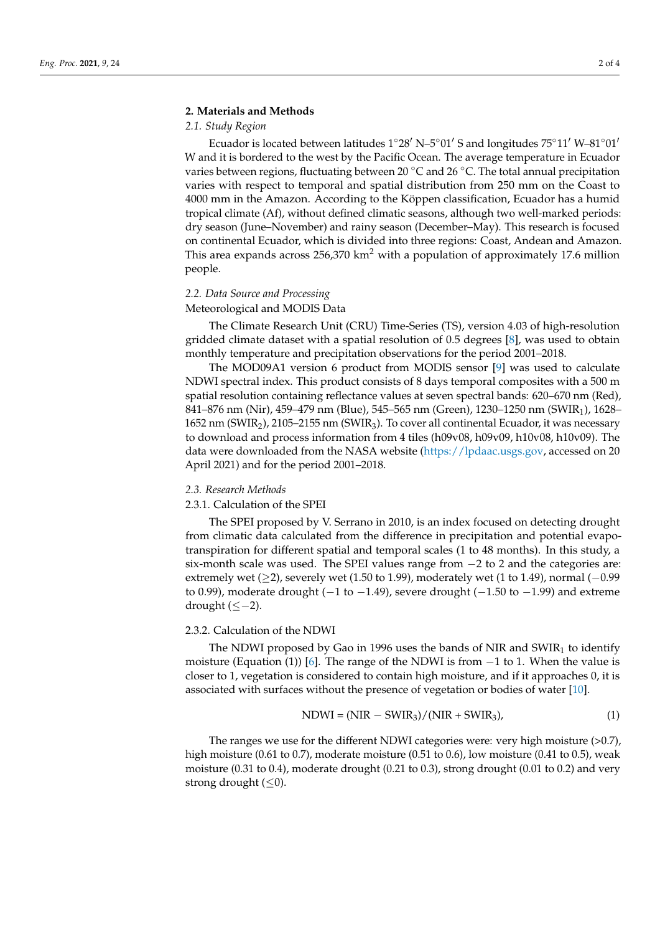#### **2. Materials and Methods**

#### *2.1. Study Region*

Ecuador is located between latitudes  $1°28'$  N– $5°01'$  S and longitudes  $75°11'$  W– $81°01'$ W and it is bordered to the west by the Pacific Ocean. The average temperature in Ecuador varies between regions, fluctuating between 20  $\degree$ C and 26  $\degree$ C. The total annual precipitation varies with respect to temporal and spatial distribution from 250 mm on the Coast to 4000 mm in the Amazon. According to the Köppen classification, Ecuador has a humid tropical climate (Af), without defined climatic seasons, although two well-marked periods: dry season (June–November) and rainy season (December–May). This research is focused on continental Ecuador, which is divided into three regions: Coast, Andean and Amazon. This area expands across  $256,370 \text{ km}^2$  with a population of approximately 17.6 million people.

#### *2.2. Data Source and Processing*

#### Meteorological and MODIS Data

The Climate Research Unit (CRU) Time-Series (TS), version 4.03 of high-resolution gridded climate dataset with a spatial resolution of 0.5 degrees [\[8\]](#page-3-7), was used to obtain monthly temperature and precipitation observations for the period 2001–2018.

The MOD09A1 version 6 product from MODIS sensor [\[9\]](#page-3-8) was used to calculate NDWI spectral index. This product consists of 8 days temporal composites with a 500 m spatial resolution containing reflectance values at seven spectral bands: 620–670 nm (Red), 841–876 nm (Nir), 459–479 nm (Blue), 545–565 nm (Green), 1230–1250 nm (SWIR1), 1628– 1652 nm (SWIR<sub>2</sub>), 2105–2155 nm (SWIR<sub>3</sub>). To cover all continental Ecuador, it was necessary to download and process information from 4 tiles (h09v08, h09v09, h10v08, h10v09). The data were downloaded from the NASA website [\(https://lpdaac.usgs.gov,](https://lpdaac.usgs.gov) accessed on 20 April 2021) and for the period 2001–2018.

#### *2.3. Research Methods*

#### 2.3.1. Calculation of the SPEI

The SPEI proposed by V. Serrano in 2010, is an index focused on detecting drought from climatic data calculated from the difference in precipitation and potential evapotranspiration for different spatial and temporal scales (1 to 48 months). In this study, a six-month scale was used. The SPEI values range from −2 to 2 and the categories are: extremely wet ( $\geq$ 2), severely wet (1.50 to 1.99), moderately wet (1 to 1.49), normal ( $-0.99$ to 0.99), moderate drought ( $-1$  to  $-1.49$ ), severe drought ( $-1.50$  to  $-1.99$ ) and extreme drought (≤−2).

#### 2.3.2. Calculation of the NDWI

The NDWI proposed by Gao in 1996 uses the bands of NIR and  $SWIR<sub>1</sub>$  to identify moisture (Equation (1)) [\[6\]](#page-3-5). The range of the NDWI is from  $-1$  to 1. When the value is closer to 1, vegetation is considered to contain high moisture, and if it approaches 0, it is associated with surfaces without the presence of vegetation or bodies of water [\[10\]](#page-3-9).

$$
NDWI = (NIR - SWIR3)/(NIR + SWIR3),
$$
\n(1)

The ranges we use for the different NDWI categories were: very high moisture (>0.7), high moisture (0.61 to 0.7), moderate moisture (0.51 to 0.6), low moisture (0.41 to 0.5), weak moisture (0.31 to 0.4), moderate drought (0.21 to 0.3), strong drought (0.01 to 0.2) and very strong drought  $(\leq 0)$ .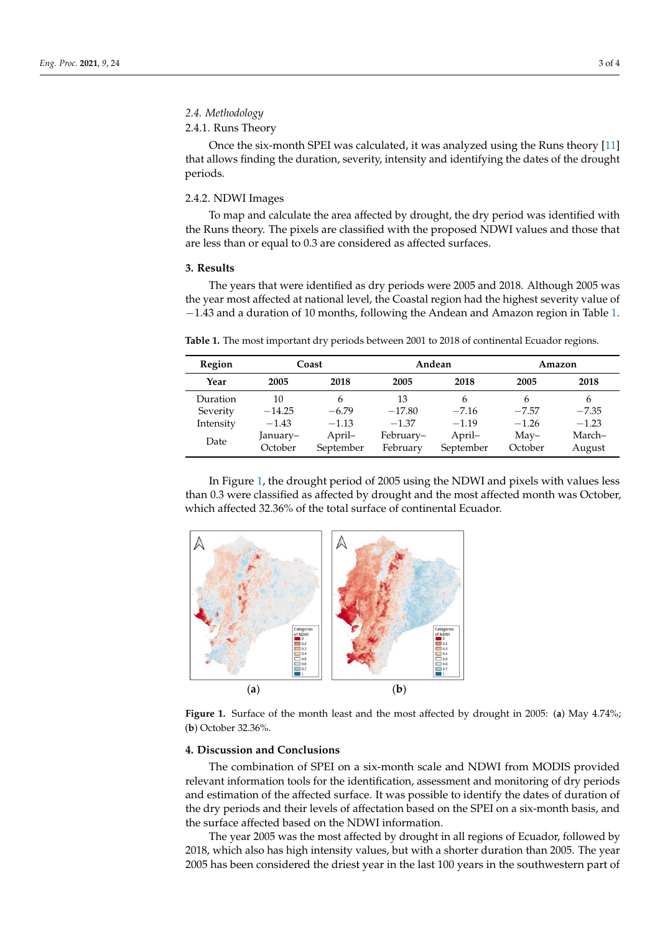#### *2.4. Methodology*  $2.4.1.1.$

#### 2.4.1. Runs Theory  $\mathcal{D}_{\text{PDE}}$  was calculated, it was calculated, it was analyzed using the Runs theory  $\mathcal{D}_{\text{PDE}}$

Once the six-month SPEI was calculated, it was analyzed using the Runs theory [\[11\]](#page-3-10) that allows finding the duration, severity, intensity and identifying the dates of the drought periods. that allows finding the duration, severity, intensity and identifying the dates of the Drice the six

## 2.4.2. NDWI Images and calculate the area affected by drought, the drought, the drought, the drought of the drought, the drought, the drought, the drought, the drought, the drought, the drought, the drought of the drought

To map and calculate the area affected by drought, the dry period was identified with the Runs theory. The pixels are classified with the proposed NDWI values and those that are less than or equal to 0.3 are considered as affected surfaces.

#### **3. Results**  $\bf{results}$

The years that were identified as dry periods were 2005 and 2018. Although 2005 was the year most affected at national level, the Coastal region had the highest severity value of −1.43 and a duration of 10 months, following the Andean and Amazon region in Table [1.](#page-2-0) 1.

<span id="page-2-0"></span>**Table 1.** The most important dry periods between 2001 to 2018 of continental Ecuador regions. **Table 1.** The most important dry periods between 2001 to 2018 of continental Ecuador regions.

| Region    | Coast    |           | Andean    |           | Amazon        |         |
|-----------|----------|-----------|-----------|-----------|---------------|---------|
| Year      | 2005     | 2018      | 2005      | 2018      | 2005          | 2018    |
| Duration  | 10       | 6         | 13        | 6         | h             | 6       |
| Severity  | $-14.25$ | $-6.79$   | $-17.80$  | $-7.16$   | $-7.57$       | $-7.35$ |
| Intensity | $-1.43$  | $-1.13$   | $-1.37$   | $-1.19$   | $-1.26$       | $-1.23$ |
| Date      | January– | April-    | February- | April-    | $\text{Mav}-$ | March-  |
|           | October  | September | February  | September | October       | August  |

In Figure 1, the drought period of 2005 using the NDWI and pixels with values less In Figure [1,](#page-2-1) the drought period of 2005 using the NDWI and pixels with values less than 0.3 were classified as affected by drought and the most affected month was October, than 0.3 were classified as affected by drought and the most affected month was October, which affected 32.36% of the total surface of continental Ecuador. which affected 32.36% of the total surface of continental Ecuador.

<span id="page-2-1"></span>

Figure 1. Surface of the month least and the most affected by drought in 2005: (a) May 4.74%; October 32.36%. (**b**) October 32.36%.

#### **4. Discussion and Conclusions 4. Discussion and Conclusions**

The combination of SPEI on a six-month scale and NDWI from MODIS provided The combination of SPEI on a six-month scale and NDWI from MODIS provided relevant information tools for the identification, assessment and monitoring of dry periods and estimation of the affected surface. It was possible to identify the dates of duration of the dry periods and their levels of affectation based on the SPEI on a six-month basis, and the surface affected based on the NDWI information.

The year 2005 was the most affected by drought in all regions of Ecuador, followed by 2018, which also has high intensity values, but with a shorter duration than 2005. The year 2005 has been considered the driest year in the last 100 years in the southwestern part of